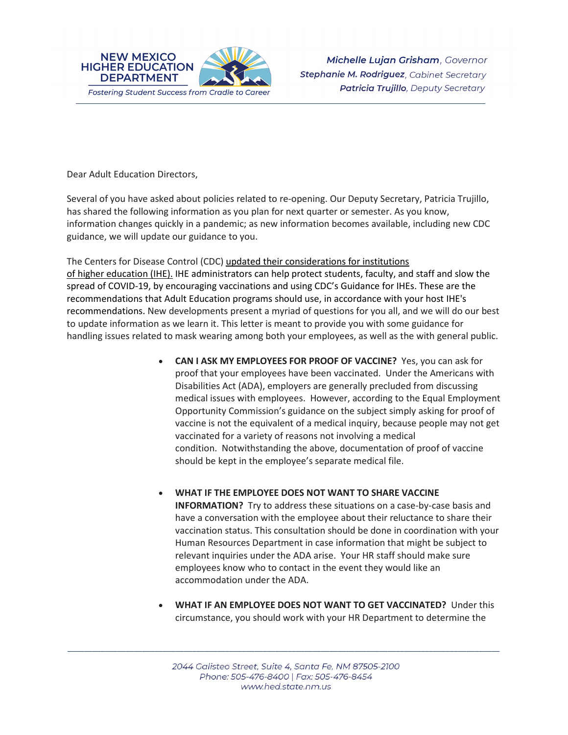

Dear Adult Education Directors,

Several of you have asked about policies related to re-opening. Our Deputy Secretary, Patricia Trujillo, has shared the following information as you plan for next quarter or semester. As you know, information changes quickly in a pandemic; as new information becomes available, including new CDC guidance, we will update our guidance to you.

The Centers for Disease Control (CDC) updated their [considerations](https://protect-us.mimecast.com/s/_qTNCpYqAOfE5zo2FpE7ID?domain=cdc.gov) for institutions of higher [education](https://protect-us.mimecast.com/s/_qTNCpYqAOfE5zo2FpE7ID?domain=cdc.gov) (IHE). IHE administrators can help protect students, faculty, and staff and slow the spread of COVID-19, by encouraging vaccinations and using CDC's Guidance for IHEs. These are the recommendations that Adult Education programs should use, in accordance with your host IHE's recommendations. New developments present a myriad of questions for you all, and we will do our best to update information as we learn it. This letter is meant to provide you with some guidance for handling issues related to mask wearing among both your employees, as well as the with general public.

- **CAN I ASK MY EMPLOYEES FOR PROOF OF VACCINE?** Yes, you can ask for proof that your employees have been vaccinated. Under the Americans with Disabilities Act (ADA), employers are generally precluded from discussing medical issues with employees. However, according to the Equal Employment Opportunity Commission's guidance on the subject simply asking for proof of vaccine is not the equivalent of a medical inquiry, because people may not get vaccinated for a variety of reasons not involving a medical condition. Notwithstanding the above, documentation of proof of vaccine should be kept in the employee's separate medical file.
- **WHAT IF THE EMPLOYEE DOES NOT WANT TO SHARE VACCINE INFORMATION?** Try to address these situations on a case-by-case basis and have a conversation with the employee about their reluctance to share their vaccination status. This consultation should be done in coordination with your Human Resources Department in case information that might be subject to relevant inquiries under the ADA arise. Your HR staff should make sure employees know who to contact in the event they would like an accommodation under the ADA.
- **WHAT IF AN EMPLOYEE DOES NOT WANT TO GET VACCINATED?** Under this circumstance, you should work with your HR Department to determine the

\_\_\_\_\_\_\_\_\_\_\_\_\_\_\_\_\_\_\_\_\_\_\_\_\_\_\_\_\_\_\_\_\_\_\_\_\_\_\_\_\_\_\_\_\_\_\_\_\_\_\_\_\_\_\_\_\_\_\_\_\_\_\_\_\_\_\_\_\_\_\_\_\_\_\_\_\_\_\_\_\_\_\_\_\_\_\_\_\_\_\_\_\_\_\_\_\_\_\_\_\_\_\_\_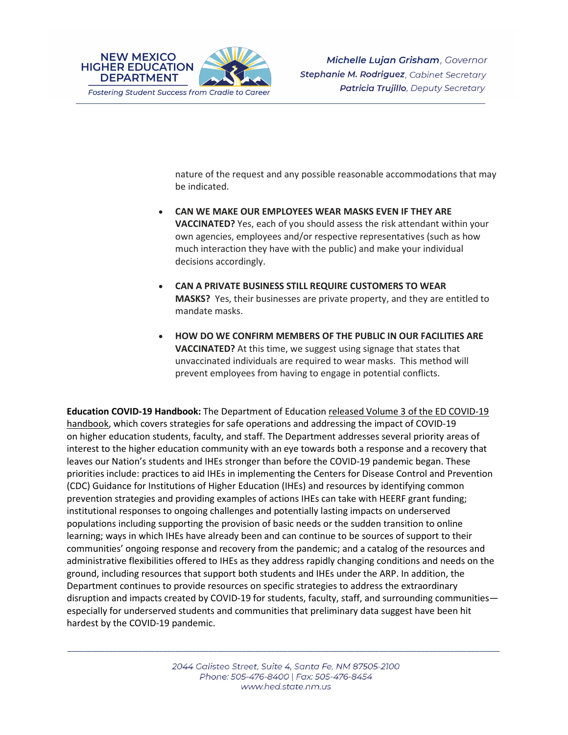

nature of the request and any possible reasonable accommodations that may be indicated.

- **CAN WE MAKE OUR EMPLOYEES WEAR MASKS EVEN IF THEY ARE VACCINATED?** Yes, each of you should assess the risk attendant within your own agencies, employees and/or respective representatives (such as how much interaction they have with the public) and make your individual decisions accordingly.
- **CAN A PRIVATE BUSINESS STILL REQUIRE CUSTOMERS TO WEAR MASKS?** Yes, their businesses are private property, and they are entitled to mandate masks.
- **HOW DO WE CONFIRM MEMBERS OF THE PUBLIC IN OUR FACILITIES ARE VACCINATED?** At this time, we suggest using signage that states that unvaccinated individuals are required to wear masks. This method will prevent employees from having to engage in potential conflicts.

**Education COVID-19 Handbook:** The Department of Education released Volume 3 of the ED [COVID-19](https://protect-us.mimecast.com/s/j55CCrkvDQu3xAZqhDvmwc?domain=www2.ed.gov) [handbook,](https://protect-us.mimecast.com/s/j55CCrkvDQu3xAZqhDvmwc?domain=www2.ed.gov) which covers strategies for safe operations and addressing the impact of COVID-19 on higher education students, faculty, and staff. The Department addresses several priority areas of interest to the higher education community with an eye towards both a response and a recovery that leaves our Nation's students and IHEs stronger than before the COVID-19 pandemic began. These priorities include: practices to aid IHEs in implementing the Centers for Disease Control and Prevention (CDC) Guidance for Institutions of Higher Education (IHEs) and resources by identifying common prevention strategies and providing examples of actions IHEs can take with HEERF grant funding; institutional responses to ongoing challenges and potentially lasting impacts on underserved populations including supporting the provision of basic needs or the sudden transition to online learning; ways in which IHEs have already been and can continue to be sources of support to their communities' ongoing response and recovery from the pandemic; and a catalog of the resources and administrative flexibilities offered to IHEs as they address rapidly changing conditions and needs on the ground, including resources that support both students and IHEs under the ARP. In addition, the Department continues to provide resources on specific strategies to address the extraordinary disruption and impacts created by COVID-19 for students, faculty, staff, and surrounding communities especially for underserved students and communities that preliminary data suggest have been hit hardest by the COVID-19 pandemic.

\_\_\_\_\_\_\_\_\_\_\_\_\_\_\_\_\_\_\_\_\_\_\_\_\_\_\_\_\_\_\_\_\_\_\_\_\_\_\_\_\_\_\_\_\_\_\_\_\_\_\_\_\_\_\_\_\_\_\_\_\_\_\_\_\_\_\_\_\_\_\_\_\_\_\_\_\_\_\_\_\_\_\_\_\_\_\_\_\_\_\_\_\_\_\_\_\_\_\_\_\_\_\_\_